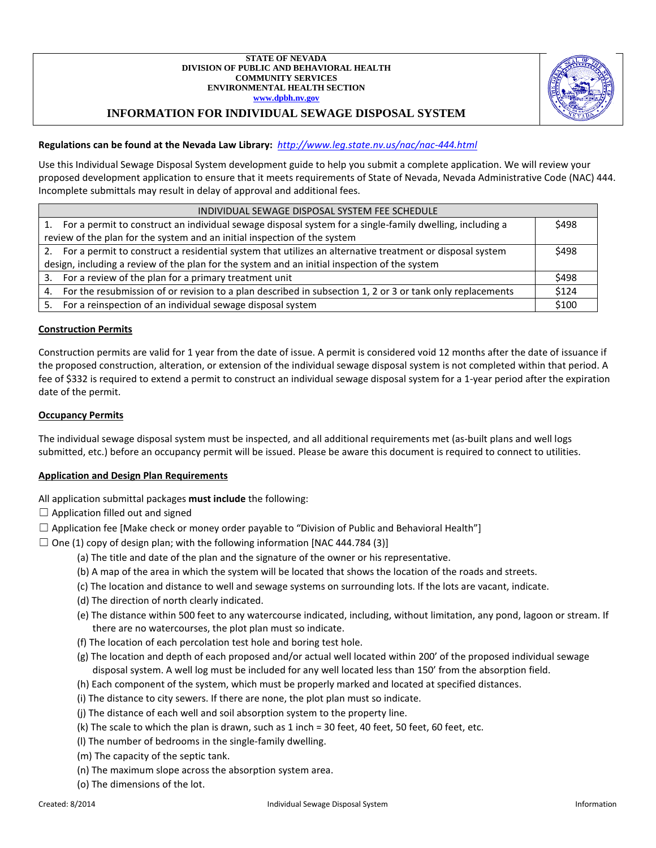

# **INFORMATION FOR INDIVIDUAL SEWAGE DISPOSAL SYSTEM**

## **Regulations can be found at the Nevada Law Library:** *<http://www.leg.state.nv.us/nac/nac-444.html>*

Use this Individual Sewage Disposal System development guide to help you submit a complete application. We will review your proposed development application to ensure that it meets requirements of State of Nevada, Nevada Administrative Code (NAC) 444. Incomplete submittals may result in delay of approval and additional fees.

| INDIVIDUAL SEWAGE DISPOSAL SYSTEM FEE SCHEDULE                                                                       |       |  |  |  |  |
|----------------------------------------------------------------------------------------------------------------------|-------|--|--|--|--|
| 1. For a permit to construct an individual sewage disposal system for a single-family dwelling, including a          |       |  |  |  |  |
| review of the plan for the system and an initial inspection of the system                                            |       |  |  |  |  |
| 2. For a permit to construct a residential system that utilizes an alternative treatment or disposal system<br>\$498 |       |  |  |  |  |
| design, including a review of the plan for the system and an initial inspection of the system                        |       |  |  |  |  |
| 3. For a review of the plan for a primary treatment unit                                                             | \$498 |  |  |  |  |
| 4. For the resubmission of or revision to a plan described in subsection 1, 2 or 3 or tank only replacements         | \$124 |  |  |  |  |
| For a reinspection of an individual sewage disposal system<br>5.                                                     | \$100 |  |  |  |  |

## **Construction Permits**

Construction permits are valid for 1 year from the date of issue. A permit is considered void 12 months after the date of issuance if the proposed construction, alteration, or extension of the individual sewage disposal system is not completed within that period. A fee of \$332 is required to extend a permit to construct an individual sewage disposal system for a 1-year period after the expiration date of the permit.

#### **Occupancy Permits**

The individual sewage disposal system must be inspected, and all additional requirements met (as-built plans and well logs submitted, etc.) before an occupancy permit will be issued. Please be aware this document is required to connect to utilities.

## **Application and Design Plan Requirements**

- All application submittal packages **must include** the following:
- $\Box$  Application filled out and signed
- $\Box$  Application fee [Make check or money order payable to "Division of Public and Behavioral Health"]
- $\Box$  One (1) copy of design plan; with the following information [NAC 444.784 (3)]
	- (a) The title and date of the plan and the signature of the owner or his representative.
	- (b) A map of the area in which the system will be located that shows the location of the roads and streets.
	- (c) The location and distance to well and sewage systems on surrounding lots. If the lots are vacant, indicate.
	- (d) The direction of north clearly indicated.
	- (e) The distance within 500 feet to any watercourse indicated, including, without limitation, any pond, lagoon or stream. If there are no watercourses, the plot plan must so indicate.
	- (f) The location of each percolation test hole and boring test hole.
	- (g) The location and depth of each proposed and/or actual well located within 200' of the proposed individual sewage disposal system. A well log must be included for any well located less than 150' from the absorption field.
	- (h) Each component of the system, which must be properly marked and located at specified distances.
	- (i) The distance to city sewers. If there are none, the plot plan must so indicate.
	- (j) The distance of each well and soil absorption system to the property line.
	- (k) The scale to which the plan is drawn, such as 1 inch = 30 feet, 40 feet, 50 feet, 60 feet, etc.
	- (l) The number of bedrooms in the single-family dwelling.
	- (m) The capacity of the septic tank.
	- (n) The maximum slope across the absorption system area.
	- (o) The dimensions of the lot.